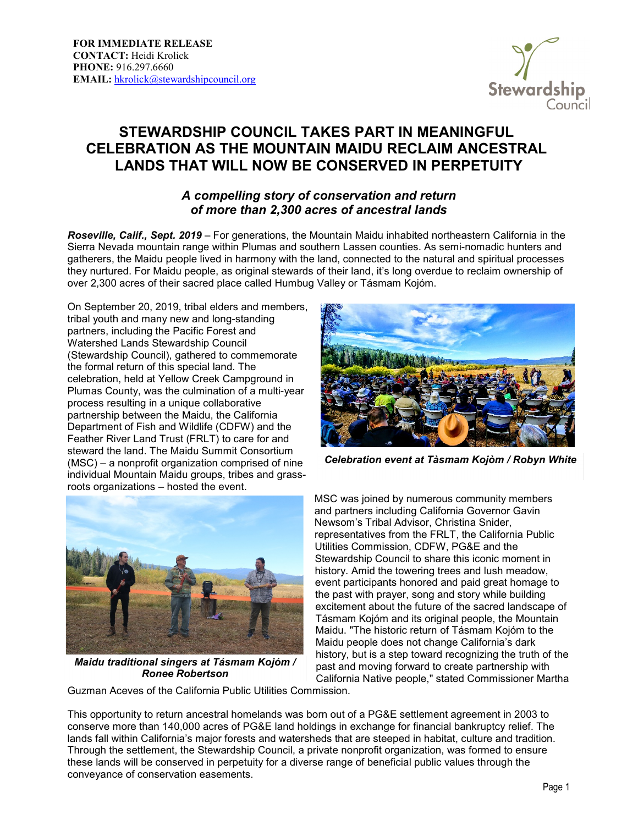

## **STEWARDSHIP COUNCIL TAKES PART IN MEANINGFUL CELEBRATION AS THE MOUNTAIN MAIDU RECLAIM ANCESTRAL LANDS THAT WILL NOW BE CONSERVED IN PERPETUITY**

## *A compelling story of conservation and return of more than 2,300 acres of ancestral lands*

*Roseville, Calif., Sept. 2019* – For generations, the Mountain Maidu inhabited northeastern California in the Sierra Nevada mountain range within Plumas and southern Lassen counties. As semi-nomadic hunters and gatherers, the Maidu people lived in harmony with the land, connected to the natural and spiritual processes they nurtured. For Maidu people, as original stewards of their land, it's long overdue to reclaim ownership of over 2,300 acres of their sacred place called Humbug Valley or Tásmam Kojóm.

On September 20, 2019, tribal elders and members, tribal youth and many new and long-standing partners, including the Pacific Forest and Watershed Lands Stewardship Council (Stewardship Council), gathered to commemorate the formal return of this special land. The celebration, held at Yellow Creek Campground in Plumas County, was the culmination of a multi-year process resulting in a unique collaborative partnership between the Maidu, the California Department of Fish and Wildlife (CDFW) and the Feather River Land Trust (FRLT) to care for and steward the land. The Maidu Summit Consortium (MSC) – a nonprofit organization comprised of nine individual Mountain Maidu groups, tribes and grassroots organizations – hosted the event.



*Celebration event at Tàsmam Kojòm / Robyn White*



*Maidu traditional singers at Tásmam Kojóm / Ronee Robertson*

MSC was joined by numerous community members and partners including California Governor Gavin Newsom's Tribal Advisor, Christina Snider, representatives from the FRLT, the California Public Utilities Commission, CDFW, PG&E and the Stewardship Council to share this iconic moment in history. Amid the towering trees and lush meadow, event participants honored and paid great homage to the past with prayer, song and story while building excitement about the future of the sacred landscape of Tásmam Kojóm and its original people, the Mountain Maidu. "The historic return of Tásmam Kojóm to the Maidu people does not change California's dark history, but is a step toward recognizing the truth of the past and moving forward to create partnership with California Native people," stated Commissioner Martha

Guzman Aceves of the California Public Utilities Commission.

This opportunity to return ancestral homelands was born out of a PG&E settlement agreement in 2003 to conserve more than 140,000 acres of PG&E land holdings in exchange for financial bankruptcy relief. The lands fall within California's major forests and watersheds that are steeped in habitat, culture and tradition. Through the settlement, the Stewardship Council, a private nonprofit organization, was formed to ensure these lands will be conserved in perpetuity for a diverse range of beneficial public values through the conveyance of conservation easements.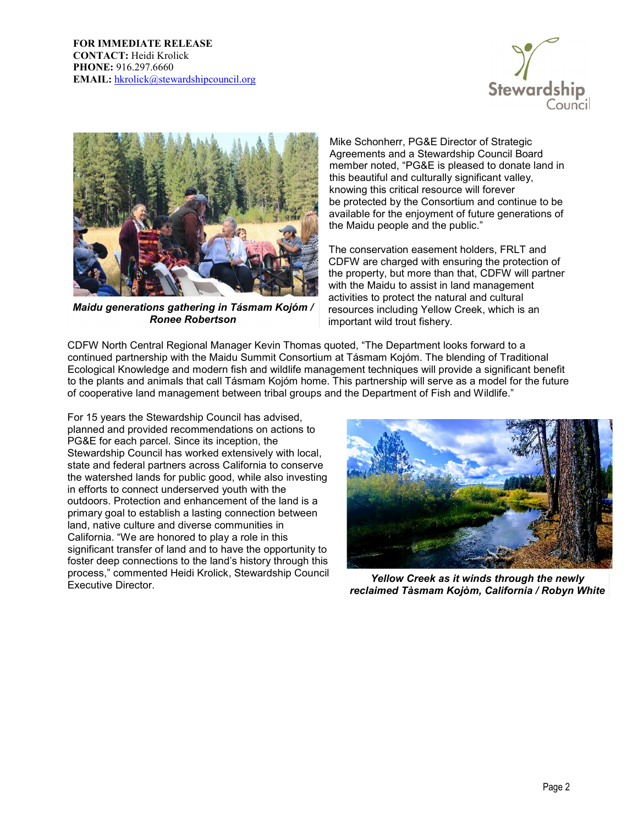



*Maidu generations gathering in Tásmam Kojóm / Ronee Robertson*

Mike Schonherr, PG&E Director of Strategic Agreements and a Stewardship Council Board member noted, "PG&E is pleased to donate land in this beautiful and culturally significant valley, knowing this critical resource will forever be protected by the Consortium and continue to be available for the enjoyment of future generations of the Maidu people and the public."

The conservation easement holders, FRLT and CDFW are charged with ensuring the protection of the property, but more than that, CDFW will partner with the Maidu to assist in land management activities to protect the natural and cultural resources including Yellow Creek, which is an important wild trout fishery.

CDFW North Central Regional Manager Kevin Thomas quoted, "The Department looks forward to a continued partnership with the Maidu Summit Consortium at Tásmam Kojóm. The blending of Traditional Ecological Knowledge and modern fish and wildlife management techniques will provide a significant benefit to the plants and animals that call Tásmam Kojóm home. This partnership will serve as a model for the future of cooperative land management between tribal groups and the Department of Fish and Wildlife."

For 15 years the Stewardship Council has advised, planned and provided recommendations on actions to PG&E for each parcel. Since its inception, the Stewardship Council has worked extensively with local, state and federal partners across California to conserve the watershed lands for public good, while also investing in efforts to connect underserved youth with the outdoors. Protection and enhancement of the land is a primary goal to establish a lasting connection between land, native culture and diverse communities in California. "We are honored to play a role in this significant transfer of land and to have the opportunity to foster deep connections to the land's history through this process," commented Heidi Krolick, Stewardship Council



Yellow Creek as it winds through the newly *reclaimed Tàsmam Kojòm, California / Robyn White*